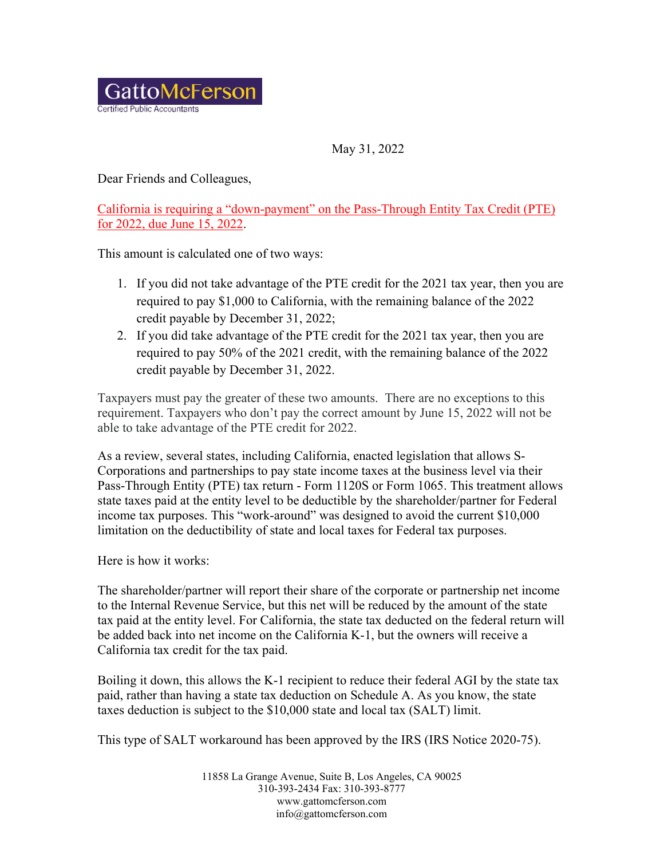

May 31, 2022

Dear Friends and Colleagues,

California is requiring a "down-payment" on the Pass-Through Entity Tax Credit (PTE) for 2022, due June 15, 2022.

This amount is calculated one of two ways:

- 1. If you did not take advantage of the PTE credit for the 2021 tax year, then you are required to pay \$1,000 to California, with the remaining balance of the 2022 credit payable by December 31, 2022;
- 2. If you did take advantage of the PTE credit for the 2021 tax year, then you are required to pay 50% of the 2021 credit, with the remaining balance of the 2022 credit payable by December 31, 2022.

Taxpayers must pay the greater of these two amounts. There are no exceptions to this requirement. Taxpayers who don't pay the correct amount by June 15, 2022 will not be able to take advantage of the PTE credit for 2022.

As a review, several states, including California, enacted legislation that allows S-Corporations and partnerships to pay state income taxes at the business level via their Pass-Through Entity (PTE) tax return - Form 1120S or Form 1065. This treatment allows state taxes paid at the entity level to be deductible by the shareholder/partner for Federal income tax purposes. This "work-around" was designed to avoid the current \$10,000 limitation on the deductibility of state and local taxes for Federal tax purposes.

Here is how it works:

The shareholder/partner will report their share of the corporate or partnership net income to the Internal Revenue Service, but this net will be reduced by the amount of the state tax paid at the entity level. For California, the state tax deducted on the federal return will be added back into net income on the California K-1, but the owners will receive a California tax credit for the tax paid.

Boiling it down, this allows the K-1 recipient to reduce their federal AGI by the state tax paid, rather than having a state tax deduction on Schedule A. As you know, the state taxes deduction is subject to the \$10,000 state and local tax (SALT) limit.

This type of SALT workaround has been approved by the IRS (IRS Notice 2020-75).

11858 La Grange Avenue, Suite B, Los Angeles, CA 90025 310-393-2434 Fax: 310-393-8777 www.gattomcferson.com info@gattomcferson.com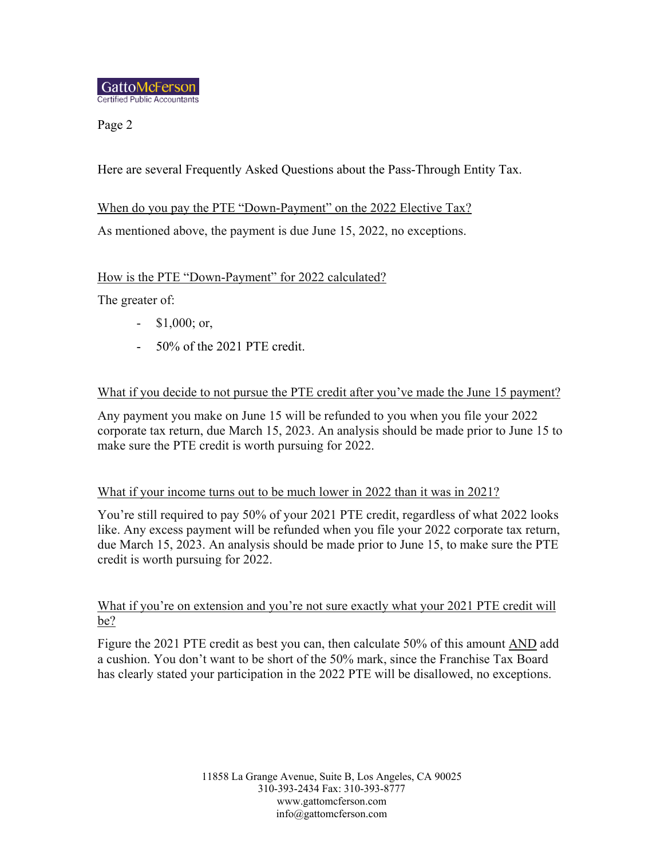Page 2

Here are several Frequently Asked Questions about the Pass-Through Entity Tax.

When do you pay the PTE "Down-Payment" on the 2022 Elective Tax?

As mentioned above, the payment is due June 15, 2022, no exceptions.

# How is the PTE "Down-Payment" for 2022 calculated?

The greater of:

- \$1,000; or,
- 50% of the 2021 PTE credit.

## What if you decide to not pursue the PTE credit after you've made the June 15 payment?

Any payment you make on June 15 will be refunded to you when you file your 2022 corporate tax return, due March 15, 2023. An analysis should be made prior to June 15 to make sure the PTE credit is worth pursuing for 2022.

# What if your income turns out to be much lower in 2022 than it was in 2021?

You're still required to pay 50% of your 2021 PTE credit, regardless of what 2022 looks like. Any excess payment will be refunded when you file your 2022 corporate tax return, due March 15, 2023. An analysis should be made prior to June 15, to make sure the PTE credit is worth pursuing for 2022.

## What if you're on extension and you're not sure exactly what your 2021 PTE credit will be?

Figure the 2021 PTE credit as best you can, then calculate 50% of this amount AND add a cushion. You don't want to be short of the 50% mark, since the Franchise Tax Board has clearly stated your participation in the 2022 PTE will be disallowed, no exceptions.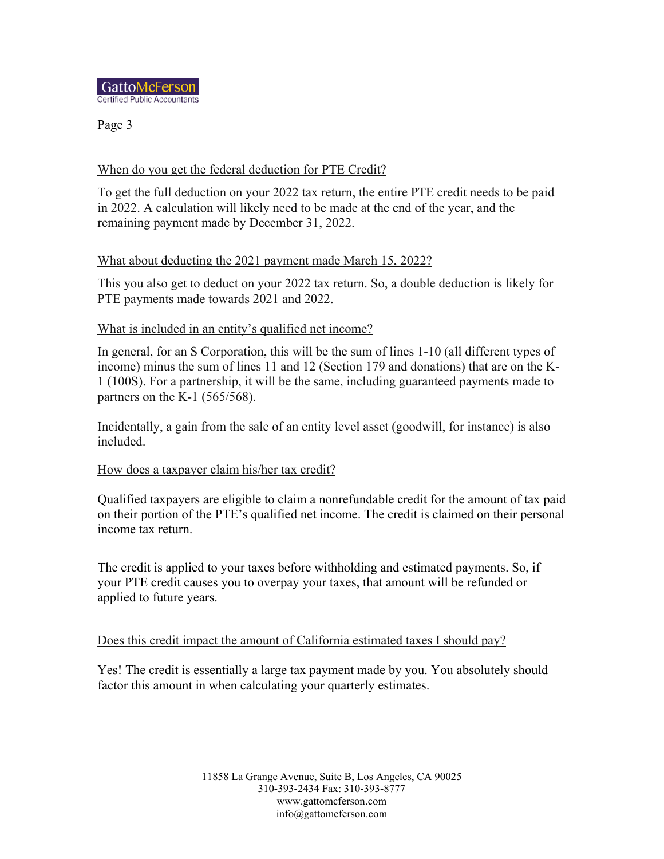

Page 3

## When do you get the federal deduction for PTE Credit?

To get the full deduction on your 2022 tax return, the entire PTE credit needs to be paid in 2022. A calculation will likely need to be made at the end of the year, and the remaining payment made by December 31, 2022.

## What about deducting the 2021 payment made March 15, 2022?

This you also get to deduct on your 2022 tax return. So, a double deduction is likely for PTE payments made towards 2021 and 2022.

#### What is included in an entity's qualified net income?

In general, for an S Corporation, this will be the sum of lines 1-10 (all different types of income) minus the sum of lines 11 and 12 (Section 179 and donations) that are on the K-1 (100S). For a partnership, it will be the same, including guaranteed payments made to partners on the K-1  $(565/568)$ .

Incidentally, a gain from the sale of an entity level asset (goodwill, for instance) is also included.

#### How does a taxpayer claim his/her tax credit?

Qualified taxpayers are eligible to claim a nonrefundable credit for the amount of tax paid on their portion of the PTE's qualified net income. The credit is claimed on their personal income tax return.

The credit is applied to your taxes before withholding and estimated payments. So, if your PTE credit causes you to overpay your taxes, that amount will be refunded or applied to future years.

#### Does this credit impact the amount of California estimated taxes I should pay?

Yes! The credit is essentially a large tax payment made by you. You absolutely should factor this amount in when calculating your quarterly estimates.